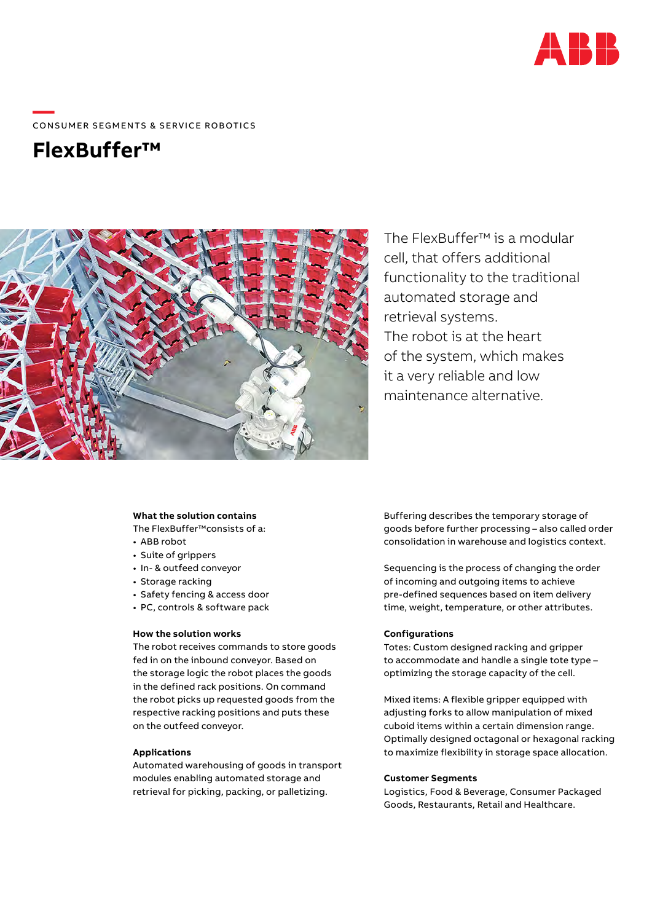

# ——<br>CONSUMER SEGMENTS & SERVICE ROBOTICS

## **FlexBuffer™**



The FlexBuffer™ is a modular cell, that offers additional functionality to the traditional automated storage and retrieval systems. The robot is at the heart of the system, which makes it a very reliable and low maintenance alternative.

#### **What the solution contains**

The FlexBuffer™consists of a:

- ABB robot
- Suite of grippers
- In- & outfeed conveyor
- Storage racking
- Safety fencing & access door
- PC, controls & software pack

#### **How the solution works**

The robot receives commands to store goods fed in on the inbound conveyor. Based on the storage logic the robot places the goods in the defined rack positions. On command the robot picks up requested goods from the respective racking positions and puts these on the outfeed conveyor.

#### **Applications**

Automated warehousing of goods in transport modules enabling automated storage and retrieval for picking, packing, or palletizing.

Buffering describes the temporary storage of goods before further processing – also called order consolidation in warehouse and logistics context.

Sequencing is the process of changing the order of incoming and outgoing items to achieve pre-defined sequences based on item delivery time, weight, temperature, or other attributes.

#### **Configurations**

Totes: Custom designed racking and gripper to accommodate and handle a single tote type – optimizing the storage capacity of the cell.

Mixed items: A flexible gripper equipped with adjusting forks to allow manipulation of mixed cuboid items within a certain dimension range. Optimally designed octagonal or hexagonal racking to maximize flexibility in storage space allocation.

### **Customer Segments**

Logistics, Food & Beverage, Consumer Packaged Goods, Restaurants, Retail and Healthcare.